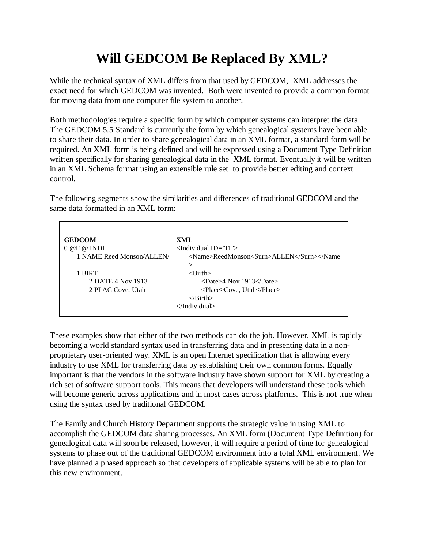## **Will GEDCOM Be Replaced By XML?**

While the technical syntax of XML differs from that used by GEDCOM, XML addresses the exact need for which GEDCOM was invented. Both were invented to provide a common format for moving data from one computer file system to another.

Both methodologies require a specific form by which computer systems can interpret the data. The GEDCOM 5.5 Standard is currently the form by which genealogical systems have been able to share their data. In order to share genealogical data in an XML format, a standard form will be required. An XML form is being defined and will be expressed using a Document Type Definition written specifically for sharing genealogical data in the XML format. Eventually it will be written in an XML Schema format using an extensible rule set to provide better editing and context control.

The following segments show the similarities and differences of traditional GEDCOM and the same data formatted in an XML form:

| <b>GEDCOM</b>             | XML                                             |
|---------------------------|-------------------------------------------------|
| 0 @ II @ INDI             | $\le$ Individual ID="I1">                       |
| 1 NAME Reed Monson/ALLEN/ | <name>ReedMonson<surn>ALLEN</surn></name>       |
|                           | >                                               |
| 1 BIRT                    | $\langle$ Rirth $\rangle$                       |
| 2 DATE 4 Nov 1913         | $\langle$ Date $>4$ Nov 1913 $\langle$ Date $>$ |
| 2 PLAC Cove, Utah         | <place>Cove, Utah</place>                       |
|                           | $\langle$ /Birth $\rangle$                      |
|                           | $\langle$ Individual>                           |
|                           |                                                 |

These examples show that either of the two methods can do the job. However, XML is rapidly becoming a world standard syntax used in transferring data and in presenting data in a nonproprietary user-oriented way. XML is an open Internet specification that is allowing every industry to use XML for transferring data by establishing their own common forms. Equally important is that the vendors in the software industry have shown support for XML by creating a rich set of software support tools. This means that developers will understand these tools which will become generic across applications and in most cases across platforms. This is not true when using the syntax used by traditional GEDCOM.

The Family and Church History Department supports the strategic value in using XML to accomplish the GEDCOM data sharing processes. An XML form (Document Type Definition) for genealogical data will soon be released, however, it will require a period of time for genealogical systems to phase out of the traditional GEDCOM environment into a total XML environment. We have planned a phased approach so that developers of applicable systems will be able to plan for this new environment.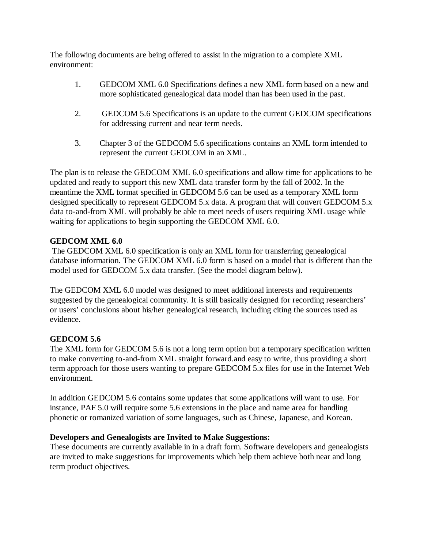The following documents are being offered to assist in the migration to a complete XML environment:

- 1. GEDCOM XML 6.0 Specifications defines a new XML form based on a new and more sophisticated genealogical data model than has been used in the past.
- 2. GEDCOM 5.6 Specifications is an update to the current GEDCOM specifications for addressing current and near term needs.
- 3. Chapter 3 of the GEDCOM 5.6 specifications contains an XML form intended to represent the current GEDCOM in an XML.

The plan is to release the GEDCOM XML 6.0 specifications and allow time for applications to be updated and ready to support this new XML data transfer form by the fall of 2002. In the meantime the XML format specified in GEDCOM 5.6 can be used as a temporary XML form designed specifically to represent GEDCOM 5.x data. A program that will convert GEDCOM 5.x data to-and-from XML will probably be able to meet needs of users requiring XML usage while waiting for applications to begin supporting the GEDCOM XML 6.0.

## **GEDCOM XML 6.0**

 The GEDCOM XML 6.0 specification is only an XML form for transferring genealogical database information. The GEDCOM XML 6.0 form is based on a model that is different than the model used for GEDCOM 5.x data transfer. (See the model diagram below).

The GEDCOM XML 6.0 model was designed to meet additional interests and requirements suggested by the genealogical community. It is still basically designed for recording researchers' or users' conclusions about his/her genealogical research, including citing the sources used as evidence.

## **GEDCOM 5.6**

The XML form for GEDCOM 5.6 is not a long term option but a temporary specification written to make converting to-and-from XML straight forward.and easy to write, thus providing a short term approach for those users wanting to prepare GEDCOM 5.x files for use in the Internet Web environment.

In addition GEDCOM 5.6 contains some updates that some applications will want to use. For instance, PAF 5.0 will require some 5.6 extensions in the place and name area for handling phonetic or romanized variation of some languages, such as Chinese, Japanese, and Korean.

## **Developers and Genealogists are Invited to Make Suggestions:**

These documents are currently available in in a draft form. Software developers and genealogists are invited to make suggestions for improvements which help them achieve both near and long term product objectives.